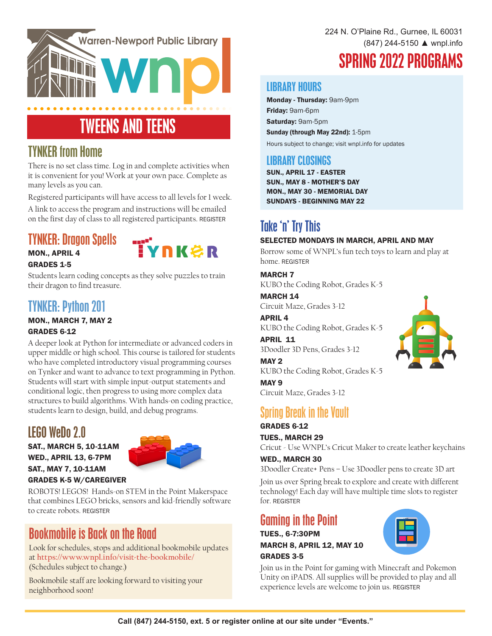

# TWEENS AND TEENS

### TYNKER from Home

There is no set class time. Log in and complete activities when it is convenient for you! Work at your own pace. Complete as many levels as you can.

Registered participants will have access to all levels for 1 week.

A link to access the program and instructions will be emailed on the first day of class to all registered participants. REGISTER

### TYNKER: Dragon Spells



MON., APRIL 4 GRADES 1-5

Students learn coding concepts as they solve puzzles to train their dragon to find treasure.

### TYNKER: Python 201

#### MON., MARCH 7, MAY 2 GRADES 6-12

A deeper look at Python for intermediate or advanced coders in upper middle or high school. This course is tailored for students who have completed introductory visual programming courses on Tynker and want to advance to text programming in Python. Students will start with simple input-output statements and conditional logic, then progress to using more complex data structures to build algorithms. With hands-on coding practice, students learn to design, build, and debug programs.

# LEGO WeDo 2.0

SAT., MARCH 5, 10-11AM WED., APRIL 13, 6-7PM SAT., MAY 7, 10-11AM



#### GRADES K-5 W/CAREGIVER

ROBOTS! LEGOS! Hands-on STEM in the Point Makerspace that combines LEGO bricks, sensors and kid-friendly software to create robots. REGISTER

### Bookmobile is Back on the Road

Look for schedules, stops and additional bookmobile updates at **https://www.wnpl.info/visit-the-bookmobile/**  (Schedules subject to change.)

Bookmobile staff are looking forward to visiting your neighborhood soon!

224 N. O'Plaine Rd., Gurnee, IL 60031 (847) 244-5150 ▲ wnpl.info

# SPRING 2022 PROGRAMS

#### LIBRARY HOURS

Monday - Thursday: 9am-9pm Friday: 9am-6pm Saturday: 9am-5pm Sunday (through May 22nd): 1-5pm Hours subject to change; visit wnpl.info for updates

### LIBRARY CLOSINGS

SUN., APRIL 17 - EASTER SUN., MAY 8 - MOTHER'S DAY MON., MAY 30 - MEMORIAL DAY SUNDAYS - BEGINNING MAY 22

# Take 'n' Try This

#### SELECTED MONDAYS IN MARCH, APRIL AND MAY

Borrow some of WNPL's fun tech toys to learn and play at home. REGISTER

#### MARCH 7

KUBO the Coding Robot, Grades K-5

MARCH 14 Circuit Maze, Grades 3-12

APRIL 4 KUBO the Coding Robot, Grades K-5

APRIL 11 3Doodler 3D Pens, Grades 3-12

MAY 2 KUBO the Coding Robot, Grades K-5

MAY 9 Circuit Maze, Grades 3-12

### Spring Break in the Vault

#### GRADES 6-12 TUES., MARCH 29

Cricut - Use WNPL's Cricut Maker to create leather keychains

#### WED., MARCH 30

3Doodler Create+ Pens – Use 3Doodler pens to create 3D art

Join us over Spring break to explore and create with different technology! Each day will have multiple time slots to register for. REGISTER

### Gaming in the Point

TUES., 6-7:30PM **MARCH 8, APRIL 12, MAY 10** GRADES 3-5



Join us in the Point for gaming with Minecraft and Pokemon Unity on iPADS. All supplies will be provided to play and all experience levels are welcome to join us. REGISTER